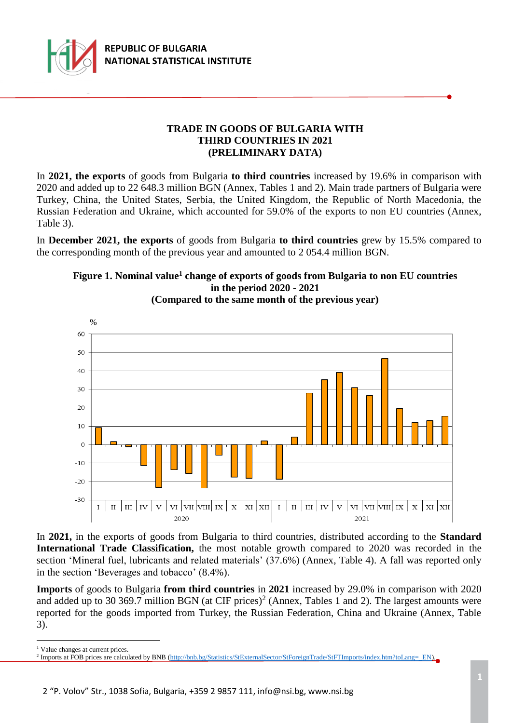

# **TRADE IN GOODS OF BULGARIA WITH THIRD COUNTRIES IN 2021 (PRELIMINARY DATA)**

In **2021, the exports** of goods from Bulgaria **to third countries** increased by 19.6% in comparison with 2020 and added up to 22 648.3 million BGN (Annex, Tables 1 and 2). Main trade partners of Bulgaria were Turkey, China, the United States, Serbia, the United Kingdom, the Republic of North Macedonia, the Russian Federation and Ukraine, which accounted for 59.0% of the exports to non EU countries (Annex, Table 3).

In **December 2021, the exports** of goods from Bulgaria **to third countries** grew by 15.5% compared to the corresponding month of the previous year and amounted to 2 054.4 million BGN.





**(Compared to the same month of the previous year)**

In **2021,** in the exports of goods from Bulgaria to third countries, distributed according to the **Standard International Trade Classification,** the most notable growth compared to 2020 was recorded in the section 'Mineral fuel, lubricants and related materials' (37.6%) (Annex, Table 4). A fall was reported only in the section 'Beverages and tobacco' (8.4%).

**Imports** of goods to Bulgaria **from third countries** in **2021** increased by 29.0% in comparison with 2020 and added up to 30 369.7 million BGN (at CIF prices)<sup>2</sup> (Annex, Tables 1 and 2). The largest amounts were reported for the goods imported from Turkey, the Russian Federation, China and Ukraine (Annex, Table 3).

i<br>L <sup>1</sup> Value changes at current prices.

<sup>&</sup>lt;sup>2</sup> Imports at FOB prices are calculated by BNB [\(http://bnb.bg/Statistics/StExternalSector/StForeignTrade/StFTImports/index.htm?toLang=\\_EN\)](http://bnb.bg/Statistics/StExternalSector/StForeignTrade/StFTImports/index.htm?toLang=_EN).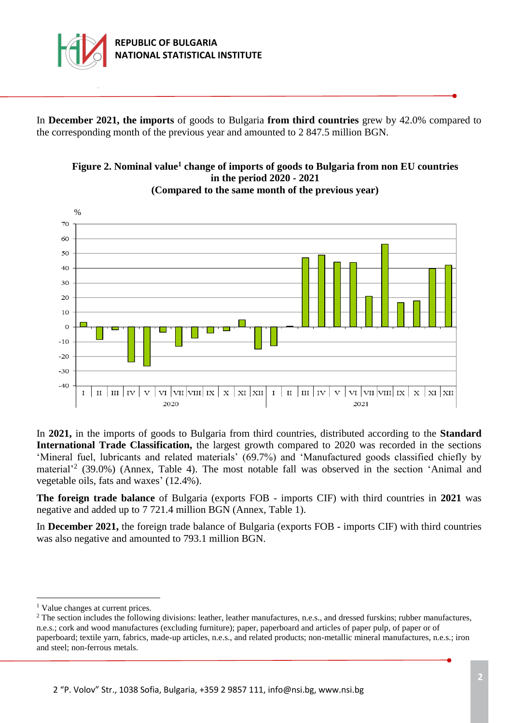

In **December 2021, the imports** of goods to Bulgaria **from third countries** grew by 42.0% compared to the corresponding month of the previous year and amounted to 2 847.5 million BGN.





In **2021,** in the imports of goods to Bulgaria from third countries, distributed according to the **Standard International Trade Classification,** the largest growth compared to 2020 was recorded in the sections 'Mineral fuel, lubricants and related materials' (69.7%) and 'Manufactured goods classified chiefly by material<sup>22</sup> (39.0%) (Annex, Table 4). The most notable fall was observed in the section 'Animal and vegetable oils, fats and waxes' (12.4%).

**The foreign trade balance** of Bulgaria (exports FOB - imports CIF) with third countries in **2021** was negative and added up to 7 721.4 million BGN (Annex, Table 1).

In **December 2021,** the foreign trade balance of Bulgaria (exports FOB - imports CIF) with third countries was also negative and amounted to 793.1 million BGN.

i<br>L

<sup>&</sup>lt;sup>1</sup> Value changes at current prices.

<sup>&</sup>lt;sup>2</sup> The section includes the following divisions: leather, leather manufactures, n.e.s., and dressed furskins; rubber manufactures, n.e.s.; cork and wood manufactures (excluding furniture); paper, paperboard and articles of paper pulp, of paper or of paperboard; textile yarn, fabrics, made-up articles, n.e.s., and related products; non-metallic mineral manufactures, n.e.s.; iron and steel; non-ferrous metals.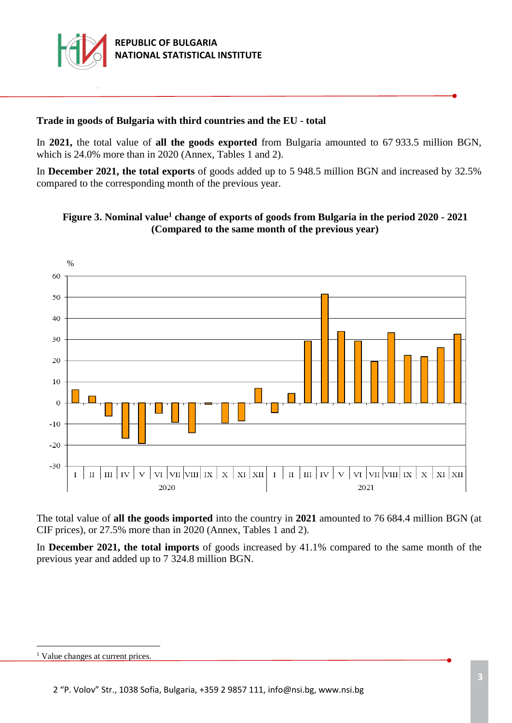

# **Trade in goods of Bulgaria with third countries and the EU - total**

In **2021,** the total value of **all the goods exported** from Bulgaria amounted to 67 933.5 million BGN, which is 24.0% more than in 2020 (Annex, Tables 1 and 2).

In **December 2021, the total exports** of goods added up to 5 948.5 million BGN and increased by 32.5% compared to the corresponding month of the previous year.



**Figure 3. Nominal value<sup>1</sup> change of exports of goods from Bulgaria in the period 2020 - 2021 (Compared to the same month of the previous year)**

The total value of **all the goods imported** into the country in **2021** amounted to 76 684.4 million BGN (at CIF prices), or 27.5% more than in 2020 (Annex, Tables 1 and 2).

In **December 2021, the total imports** of goods increased by 41.1% compared to the same month of the previous year and added up to 7 324.8 million BGN.

i<br>L

<sup>&</sup>lt;sup>1</sup> Value changes at current prices.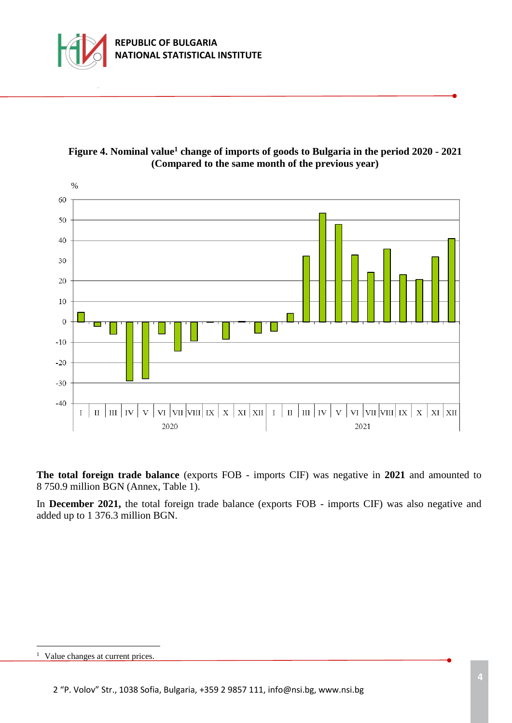





**The total foreign trade balance** (exports FOB - imports CIF) was negative in **2021** and amounted to 8 750.9 million BGN (Annex, Table 1).

In **December 2021,** the total foreign trade balance (exports FOB - imports CIF) was also negative and added up to 1 376.3 million BGN.

i<br>L

<sup>&</sup>lt;sup>1</sup> Value changes at current prices.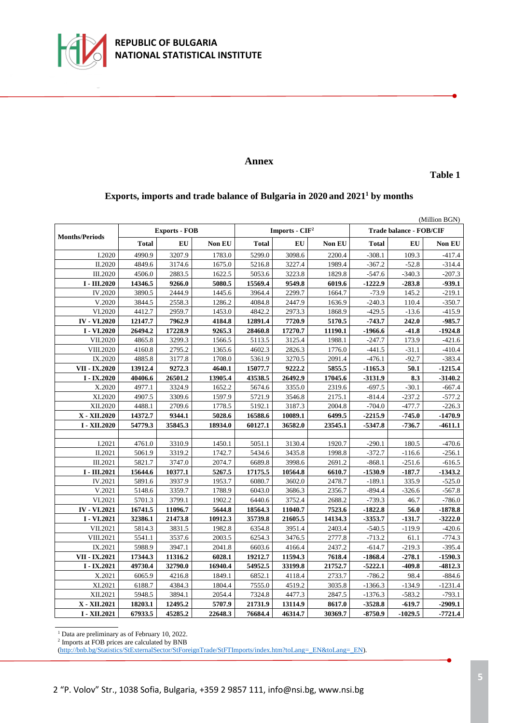

#### **Annex**

**Table 1**

### **Exports, imports and trade balance of Bulgaria in 2020 and 2021<sup>1</sup> by months**

| (Million BGN)         |              |                      |         |                  |         |         |                                |           |           |  |
|-----------------------|--------------|----------------------|---------|------------------|---------|---------|--------------------------------|-----------|-----------|--|
| <b>Months/Periods</b> |              | <b>Exports - FOB</b> |         | Imports - $CIF2$ |         |         | <b>Trade balance - FOB/CIF</b> |           |           |  |
|                       | <b>Total</b> | EU                   | Non EU  | <b>Total</b>     | EU      | Non EU  | <b>Total</b>                   | EU        | Non EU    |  |
| I.2020                | 4990.9       | 3207.9               | 1783.0  | 5299.0           | 3098.6  | 2200.4  | $-308.1$                       | 109.3     | $-417.4$  |  |
| II.2020               | 4849.6       | 3174.6               | 1675.0  | 5216.8           | 3227.4  | 1989.4  | $-367.2$                       | $-52.8$   | $-314.4$  |  |
| III.2020              | 4506.0       | 2883.5               | 1622.5  | 5053.6           | 3223.8  | 1829.8  | $-547.6$                       | $-340.3$  | $-207.3$  |  |
| $I - III.2020$        | 14346.5      | 9266.0               | 5080.5  | 15569.4          | 9549.8  | 6019.6  | $-1222.9$                      | $-283.8$  | $-939.1$  |  |
| IV.2020               | 3890.5       | 2444.9               | 1445.6  | 3964.4           | 2299.7  | 1664.7  | $-73.9$                        | 145.2     | $-219.1$  |  |
| V.2020                | 3844.5       | 2558.3               | 1286.2  | 4084.8           | 2447.9  | 1636.9  | $-240.3$                       | 110.4     | $-350.7$  |  |
| VI.2020               | 4412.7       | 2959.7               | 1453.0  | 4842.2           | 2973.3  | 1868.9  | $-429.5$                       | $-13.6$   | $-415.9$  |  |
| <b>IV - VI.2020</b>   | 12147.7      | 7962.9               | 4184.8  | 12891.4          | 7720.9  | 5170.5  | $-743.7$                       | 242.0     | $-985.7$  |  |
| I - VI.2020           | 26494.2      | 17228.9              | 9265.3  | 28460.8          | 17270.7 | 11190.1 | $-1966.6$                      | $-41.8$   | $-1924.8$ |  |
| VII.2020              | 4865.8       | 3299.3               | 1566.5  | 5113.5           | 3125.4  | 1988.1  | $-247.7$                       | 173.9     | $-421.6$  |  |
| VIII.2020             | 4160.8       | 2795.2               | 1365.6  | 4602.3           | 2826.3  | 1776.0  | $-441.5$                       | $-31.1$   | $-410.4$  |  |
| IX.2020               | 4885.8       | 3177.8               | 1708.0  | 5361.9           | 3270.5  | 2091.4  | $-476.1$                       | $-92.7$   | $-383.4$  |  |
| VII - IX.2020         | 13912.4      | 9272.3               | 4640.1  | 15077.7          | 9222.2  | 5855.5  | $-1165.3$                      | 50.1      | $-1215.4$ |  |
| $I - IX.2020$         | 40406.6      | 26501.2              | 13905.4 | 43538.5          | 26492.9 | 17045.6 | $-3131.9$                      | 8.3       | $-3140.2$ |  |
| X.2020                | 4977.1       | 3324.9               | 1652.2  | 5674.6           | 3355.0  | 2319.6  | $-697.5$                       | $-30.1$   | $-667.4$  |  |
| XI.2020               | 4907.5       | 3309.6               | 1597.9  | 5721.9           | 3546.8  | 2175.1  | $-814.4$                       | $-237.2$  | $-577.2$  |  |
| XII.2020              | 4488.1       | 2709.6               | 1778.5  | 5192.1           | 3187.3  | 2004.8  | $-704.0$                       | $-477.7$  | $-226.3$  |  |
| X - XII.2020          | 14372.7      | 9344.1               | 5028.6  | 16588.6          | 10089.1 | 6499.5  | $-2215.9$                      | $-745.0$  | $-1470.9$ |  |
| I - XII.2020          | 54779.3      | 35845.3              | 18934.0 | 60127.1          | 36582.0 | 23545.1 | $-5347.8$                      | $-736.7$  | $-4611.1$ |  |
|                       |              |                      |         |                  |         |         |                                |           |           |  |
| I.2021                | 4761.0       | 3310.9               | 1450.1  | 5051.1           | 3130.4  | 1920.7  | $-290.1$                       | 180.5     | $-470.6$  |  |
| II.2021               | 5061.9       | 3319.2               | 1742.7  | 5434.6           | 3435.8  | 1998.8  | $-372.7$                       | $-116.6$  | $-256.1$  |  |
| III.2021              | 5821.7       | 3747.0               | 2074.7  | 6689.8           | 3998.6  | 2691.2  | $-868.1$                       | $-251.6$  | $-616.5$  |  |
| $I - III.2021$        | 15644.6      | 10377.1              | 5267.5  | 17175.5          | 10564.8 | 6610.7  | $-1530.9$                      | $-187.7$  | $-1343.2$ |  |
| IV.2021               | 5891.6       | 3937.9               | 1953.7  | 6080.7           | 3602.0  | 2478.7  | $-189.1$                       | 335.9     | $-525.0$  |  |
| V.2021                | 5148.6       | 3359.7               | 1788.9  | 6043.0           | 3686.3  | 2356.7  | $-894.4$                       | $-326.6$  | $-567.8$  |  |
| VI.2021               | 5701.3       | 3799.1               | 1902.2  | 6440.6           | 3752.4  | 2688.2  | $-739.3$                       | 46.7      | $-786.0$  |  |
| <b>IV - VI.2021</b>   | 16741.5      | 11096.7              | 5644.8  | 18564.3          | 11040.7 | 7523.6  | $-1822.8$                      | 56.0      | $-1878.8$ |  |
| I - VI.2021           | 32386.1      | 21473.8              | 10912.3 | 35739.8          | 21605.5 | 14134.3 | -3353.7                        | $-131.7$  | $-3222.0$ |  |
| VII.2021              | 5814.3       | 3831.5               | 1982.8  | 6354.8           | 3951.4  | 2403.4  | $-540.5$                       | $-119.9$  | $-420.6$  |  |
| VIII.2021             | 5541.1       | 3537.6               | 2003.5  | 6254.3           | 3476.5  | 2777.8  | $-713.2$                       | 61.1      | $-774.3$  |  |
| IX.2021               | 5988.9       | 3947.1               | 2041.8  | 6603.6           | 4166.4  | 2437.2  | $-614.7$                       | $-219.3$  | $-395.4$  |  |
| VII - IX.2021         | 17344.3      | 11316.2              | 6028.1  | 19212.7          | 11594.3 | 7618.4  | $-1868.4$                      | $-278.1$  | $-1590.3$ |  |
| $I - IX.2021$         | 49730.4      | 32790.0              | 16940.4 | 54952.5          | 33199.8 | 21752.7 | $-5222.1$                      | $-409.8$  | $-4812.3$ |  |
| X.2021                | 6065.9       | 4216.8               | 1849.1  | 6852.1           | 4118.4  | 2733.7  | $-786.2$                       | 98.4      | $-884.6$  |  |
| XI.2021               | 6188.7       | 4384.3               | 1804.4  | 7555.0           | 4519.2  | 3035.8  | $-1366.3$                      | $-134.9$  | $-1231.4$ |  |
| XII.2021              | 5948.5       | 3894.1               | 2054.4  | 7324.8           | 4477.3  | 2847.5  | $-1376.3$                      | $-583.2$  | $-793.1$  |  |
| X - XII.2021          | 18203.1      | 12495.2              | 5707.9  | 21731.9          | 13114.9 | 8617.0  | $-3528.8$                      | $-619.7$  | $-2909.1$ |  |
| I - XII.2021          | 67933.5      | 45285.2              | 22648.3 | 76684.4          | 46314.7 | 30369.7 | $-8750.9$                      | $-1029.5$ | $-7721.4$ |  |

 $1<sup>1</sup>$  Data are preliminary as of February 10, 2022.<br>
<sup>2</sup> Imports at FOB prices are calculated by BNB

[\(http://bnb.bg/Statistics/StExternalSector/StForeignTrade/StFTImports/index.htm?toLang=\\_EN&toLang=\\_EN\)](http://bnb.bg/Statistics/StExternalSector/StForeignTrade/StFTImports/index.htm?toLang=_EN&toLang=_EN).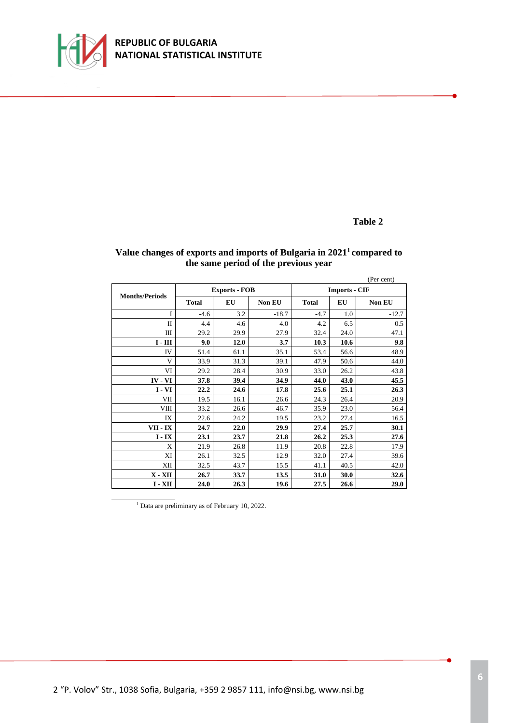

## **Table 2**

|                       |              |                      |         |                      |      | (Per cent) |  |
|-----------------------|--------------|----------------------|---------|----------------------|------|------------|--|
| <b>Months/Periods</b> |              | <b>Exports - FOB</b> |         | <b>Imports - CIF</b> |      |            |  |
|                       | <b>Total</b> | EU                   | Non EU  | <b>Total</b>         | EU   | Non EU     |  |
| Ī                     | $-4.6$       | 3.2                  | $-18.7$ | $-4.7$               | 1.0  | $-12.7$    |  |
| $\mathbf{I}$          | 4.4          | 4.6                  | 4.0     | 4.2                  | 6.5  | 0.5        |  |
| Ш                     | 29.2         | 29.9                 | 27.9    | 32.4                 | 24.0 | 47.1       |  |
| $I - III$             | 9.0          | 12.0                 | 3.7     | 10.3                 | 10.6 | 9.8        |  |
| IV                    | 51.4         | 61.1                 | 35.1    | 53.4                 | 56.6 | 48.9       |  |
| V                     | 33.9         | 31.3                 | 39.1    | 47.9                 | 50.6 | 44.0       |  |
| VI                    | 29.2         | 28.4                 | 30.9    | 33.0                 | 26.2 | 43.8       |  |
| IV - VI               | 37.8         | 39.4                 | 34.9    | 44.0                 | 43.0 | 45.5       |  |
| $I - VI$              | 22.2         | 24.6                 | 17.8    | 25.6                 | 25.1 | 26.3       |  |
| VІІ                   | 19.5         | 16.1                 | 26.6    | 24.3                 | 26.4 | 20.9       |  |
| VIII                  | 33.2         | 26.6                 | 46.7    | 35.9                 | 23.0 | 56.4       |  |
| IX                    | 22.6         | 24.2                 | 19.5    | 23.2                 | 27.4 | 16.5       |  |
| VII - IX              | 24.7         | 22.0                 | 29.9    | 27.4                 | 25.7 | 30.1       |  |
| $I - IX$              | 23.1         | 23.7                 | 21.8    | 26.2                 | 25.3 | 27.6       |  |
| X                     | 21.9         | 26.8                 | 11.9    | 20.8                 | 22.8 | 17.9       |  |
| XI                    | 26.1         | 32.5                 | 12.9    | 32.0                 | 27.4 | 39.6       |  |
| XII                   | 32.5         | 43.7                 | 15.5    | 41.1                 | 40.5 | 42.0       |  |
| $X - XII$             | 26.7         | 33.7                 | 13.5    | 31.0                 | 30.0 | 32.6       |  |
| $I - XII$             | 24.0         | 26.3                 | 19.6    | 27.5                 | 26.6 | 29.0       |  |

### **Value changes of exports and imports of Bulgaria in 2021<sup>1</sup>compared to the same period of the previous year**

<sup>1</sup> Data are preliminary as of February 10, 2022.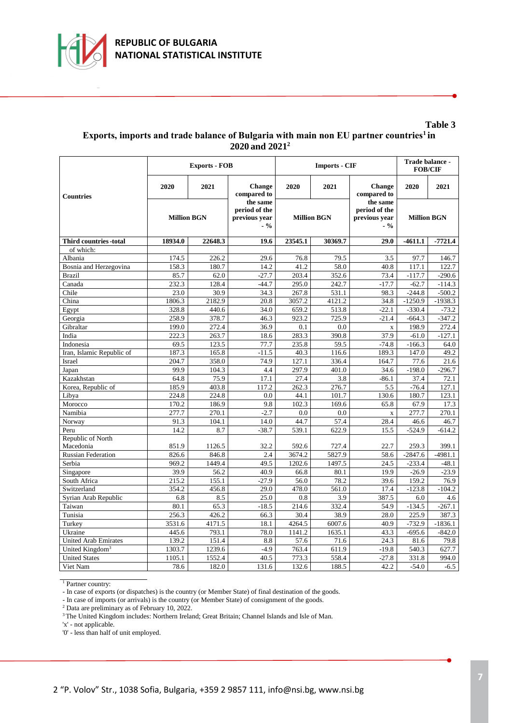

#### **Table 3 Еxports, imports and trade balance of Bulgaria with main non EU partner countries<sup>1</sup>in 2020 and 2021<sup>2</sup>**

|                             |                    | <b>Exports - FOB</b> |                                                     |                    | <b>Imports - CIF</b> | Trade balance -<br><b>FOB/CIF</b>                   |                    |           |
|-----------------------------|--------------------|----------------------|-----------------------------------------------------|--------------------|----------------------|-----------------------------------------------------|--------------------|-----------|
| <b>Countries</b>            | 2020               | 2021                 | <b>Change</b><br>compared to                        | 2020               | 2021                 | <b>Change</b><br>compared to                        | 2020               | 2021      |
|                             | <b>Million BGN</b> |                      | the same<br>period of the<br>previous vear<br>$-$ % | <b>Million BGN</b> |                      | the same<br>period of the<br>previous year<br>$-$ % | <b>Million BGN</b> |           |
| Third countries -total      | 18934.0            | 22648.3              | 19.6                                                | 23545.1            | 30369.7              | 29.0                                                | -4611.1            | $-7721.4$ |
| of which:                   |                    |                      |                                                     |                    |                      |                                                     |                    |           |
| Albania                     | 174.5              | 226.2                | 29.6                                                | 76.8               | 79.5                 | 3.5                                                 | 97.7               | 146.7     |
| Bosnia and Herzegovina      | 158.3              | 180.7                | 14.2                                                | 41.2               | 58.0                 | 40.8                                                | 117.1              | 122.7     |
| <b>Brazil</b>               | 85.7               | 62.0                 | $-27.7$                                             | 203.4              | 352.6                | 73.4                                                | $-117.7$           | $-290.6$  |
| Canada                      | 232.3              | 128.4                | $-44.7$                                             | 295.0              | 242.7                | $-17.7$                                             | $-62.7$            | $-114.3$  |
| Chile                       | 23.0               | 30.9                 | 34.3                                                | 267.8              | 531.1                | 98.3                                                | $-244.8$           | $-500.2$  |
| China                       | 1806.3             | 2182.9               | 20.8                                                | 3057.2             | 4121.2               | 34.8                                                | $-1250.9$          | $-1938.3$ |
| Egypt                       | 328.8              | 440.6                | 34.0                                                | 659.2              | 513.8                | $-22.1$                                             | $-330.4$           | $-73.2$   |
| Georgia                     | 258.9              | 378.7                | 46.3                                                | 923.2              | 725.9                | $-21.4$                                             | $-664.3$           | $-347.2$  |
| Gibraltar                   | 199.0              | 272.4                | 36.9                                                | 0.1                | 0.0                  | $\bar{\mathbf{x}}$                                  | 198.9              | 272.4     |
| India                       | 222.3              | 263.7                | 18.6                                                | 283.3              | 390.8                | 37.9                                                | $-61.0$            | $-127.1$  |
| Indonesia                   | 69.5               | 123.5                | 77.7                                                | 235.8              | 59.5                 | $-74.8$                                             | $-166.3$           | 64.0      |
| Iran, Islamic Republic of   | 187.3              | 165.8                | $-11.5$                                             | 40.3               | 116.6                | 189.3                                               | 147.0              | 49.2      |
| Israel                      | 204.7              | 358.0                | 74.9                                                | 127.1              | 336.4                | 164.7                                               | 77.6               | 21.6      |
| Japan                       | 99.9               | 104.3                | 4.4                                                 | 297.9              | 401.0                | 34.6                                                | $-198.0$           | $-296.7$  |
| Kazakhstan                  | 64.8               | 75.9                 | 17.1                                                | 27.4               | 3.8                  | $-86.1$                                             | 37.4               | 72.1      |
| Korea, Republic of          | 185.9              | 403.8                | 117.2                                               | 262.3              | 276.7                | 5.5                                                 | $-76.4$            | 127.1     |
| Libya                       | 224.8              | 224.8                | 0.0                                                 | 44.1               | 101.7                | 130.6                                               | 180.7              | 123.1     |
| Morocco                     | 170.2              | 186.9                | 9.8                                                 | 102.3              | 169.6                | 65.8                                                | 67.9               | 17.3      |
| Namibia                     | 277.7              | 270.1                | $-2.7$                                              | 0.0                | 0.0                  | $\mathbf x$                                         | 277.7              | 270.1     |
| Norway                      | 91.3               | 104.1                | 14.0                                                | 44.7               | 57.4                 | 28.4                                                | 46.6               | 46.7      |
| Peru                        | 14.2               | 8.7                  | $-38.7$                                             | 539.1              | 622.9                | 15.5                                                | $-524.9$           | $-614.2$  |
| Republic of North           |                    |                      |                                                     |                    |                      |                                                     |                    |           |
| Macedonia                   | 851.9              | 1126.5               | 32.2                                                | 592.6              | 727.4                | 22.7                                                | 259.3              | 399.1     |
| <b>Russian Federation</b>   | 826.6              | 846.8                | 2.4                                                 | 3674.2             | 5827.9               | 58.6                                                | $-2847.6$          | $-4981.1$ |
| Serbia                      | 969.2              | 1449.4               | 49.5                                                | 1202.6             | 1497.5               | 24.5                                                | $-233.4$           | $-48.1$   |
| Singapore                   | 39.9               | 56.2                 | 40.9                                                | 66.8               | 80.1                 | 19.9                                                | $-26.9$            | $-23.9$   |
| South Africa                | 215.2              | 155.1                | $-27.9$                                             | 56.0               | 78.2                 | 39.6                                                | 159.2              | 76.9      |
| Switzerland                 | 354.2              | 456.8                | 29.0                                                | 478.0              | 561.0                | 17.4                                                | $-123.8$           | $-104.2$  |
| Syrian Arab Republic        | 6.8                | 8.5                  | 25.0                                                | 0.8                | 3.9                  | 387.5                                               | 6.0                | 4.6       |
| Taiwan                      | 80.1               | 65.3                 | $-18.5$                                             | 214.6              | 332.4                | 54.9                                                | $-134.5$           | $-267.1$  |
| Tunisia                     | 256.3              | 426.2                | 66.3                                                | 30.4               | 38.9                 | 28.0                                                | 225.9              | 387.3     |
| Turkey                      | 3531.6             | 4171.5               | 18.1                                                | 4264.5             | 6007.6               | 40.9                                                | $-732.9$           | $-1836.1$ |
| Ukraine                     | 445.6              | 793.1                | 78.0                                                | 1141.2             | 1635.1               | 43.3                                                | $-695.6$           | $-842.0$  |
| <b>United Arab Emirates</b> | 139.2              | 151.4                | 8.8                                                 | 57.6               | 71.6                 | 24.3                                                | 81.6               | 79.8      |
| United Kingdom <sup>3</sup> | 1303.7             | 1239.6               | $-4.9$                                              | 763.4              | 611.9                | $-19.8$                                             | 540.3              | 627.7     |
| <b>United States</b>        | 1105.1             | 1552.4               | 40.5                                                | 773.3              | 558.4                | $-27.8$                                             | 331.8              | 994.0     |
| Viet Nam                    | 78.6               | 182.0                | 131.6                                               | 132.6              | 188.5                | 42.2                                                | $-54.0$            | $-6.5$    |

<sup>1</sup> Partner country:

- In case of exports (or dispatches) is the country (or Member State) of final destination of the goods.

- In case of imports (or arrivals) is the country (or Member State) of consignment of the goods.

<sup>2</sup> Data are preliminary as of February 10, 2022.

<sup>3</sup>The United Kingdom includes: Northern Ireland; Great Britain; Channel Islands and Isle of Man.

'x' - not applicable.

'0' - less than half of unit employed.